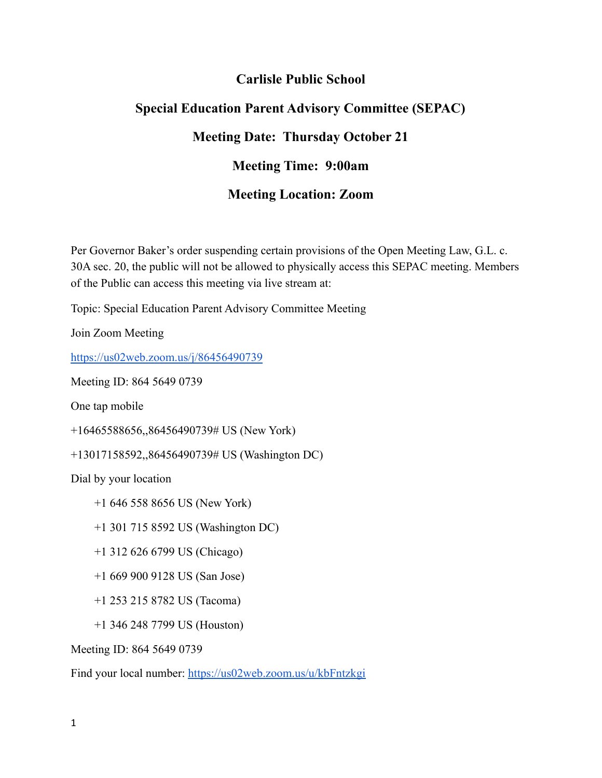## **Carlisle Public School**

## **Special Education Parent Advisory Committee (SEPAC) Meeting Date: Thursday October 21 Meeting Time: 9:00am Meeting Location: Zoom**

Per Governor Baker's order suspending certain provisions of the Open Meeting Law, G.L. c. 30A sec. 20, the public will not be allowed to physically access this SEPAC meeting. Members of the Public can access this meeting via live stream at:

Topic: Special Education Parent Advisory Committee Meeting

Join Zoom Meeting

<https://us02web.zoom.us/j/86456490739>

Meeting ID: 864 5649 0739

One tap mobile

+16465588656,,86456490739# US (New York)

+13017158592,,86456490739# US (Washington DC)

Dial by your location

- +1 646 558 8656 US (New York)
- +1 301 715 8592 US (Washington DC)
- +1 312 626 6799 US (Chicago)
- +1 669 900 9128 US (San Jose)
- +1 253 215 8782 US (Tacoma)
- +1 346 248 7799 US (Houston)

Meeting ID: 864 5649 0739

Find your local number: <https://us02web.zoom.us/u/kbFntzkgi>